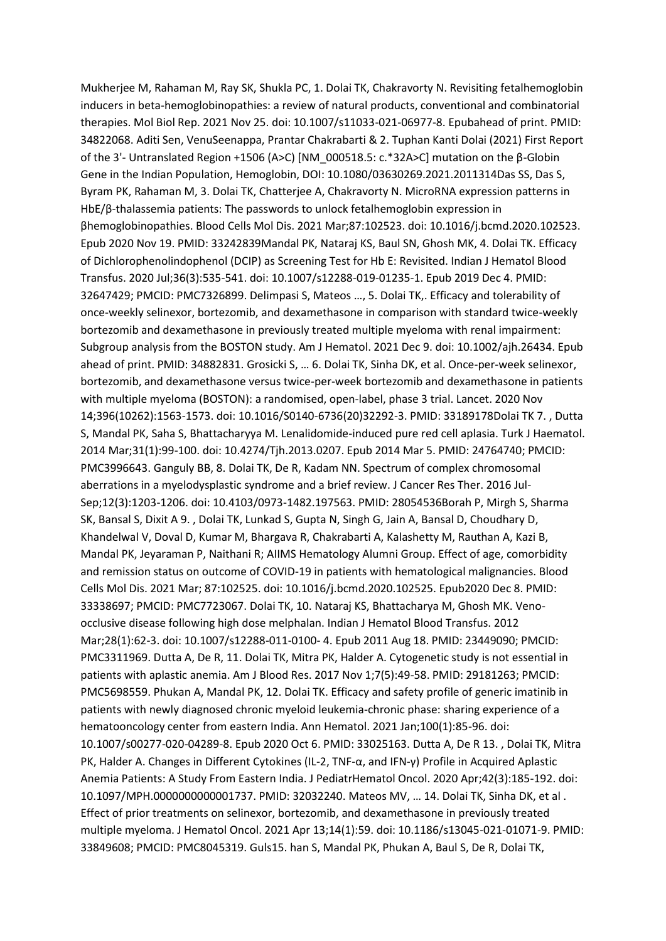Mukherjee M, Rahaman M, Ray SK, Shukla PC, 1. Dolai TK, Chakravorty N. Revisiting fetalhemoglobin inducers in beta-hemoglobinopathies: a review of natural products, conventional and combinatorial therapies. Mol Biol Rep. 2021 Nov 25. doi: 10.1007/s11033-021-06977-8. Epubahead of print. PMID: 34822068. Aditi Sen, VenuSeenappa, Prantar Chakrabarti & 2. Tuphan Kanti Dolai (2021) First Report of the 3'- Untranslated Region +1506 (A>C) [NM\_000518.5: c.\*32A>C] mutation on the β-Globin Gene in the Indian Population, Hemoglobin, DOI: 10.1080/03630269.2021.2011314Das SS, Das S, Byram PK, Rahaman M, 3. Dolai TK, Chatterjee A, Chakravorty N. MicroRNA expression patterns in HbE/β-thalassemia patients: The passwords to unlock fetalhemoglobin expression in βhemoglobinopathies. Blood Cells Mol Dis. 2021 Mar;87:102523. doi: 10.1016/j.bcmd.2020.102523. Epub 2020 Nov 19. PMID: 33242839Mandal PK, Nataraj KS, Baul SN, Ghosh MK, 4. Dolai TK. Efficacy of Dichlorophenolindophenol (DCIP) as Screening Test for Hb E: Revisited. Indian J Hematol Blood Transfus. 2020 Jul;36(3):535-541. doi: 10.1007/s12288-019-01235-1. Epub 2019 Dec 4. PMID: 32647429; PMCID: PMC7326899. Delimpasi S, Mateos …, 5. Dolai TK,. Efficacy and tolerability of once-weekly selinexor, bortezomib, and dexamethasone in comparison with standard twice-weekly bortezomib and dexamethasone in previously treated multiple myeloma with renal impairment: Subgroup analysis from the BOSTON study. Am J Hematol. 2021 Dec 9. doi: 10.1002/ajh.26434. Epub ahead of print. PMID: 34882831. Grosicki S, … 6. Dolai TK, Sinha DK, et al. Once-per-week selinexor, bortezomib, and dexamethasone versus twice-per-week bortezomib and dexamethasone in patients with multiple myeloma (BOSTON): a randomised, open-label, phase 3 trial. Lancet. 2020 Nov 14;396(10262):1563-1573. doi: 10.1016/S0140-6736(20)32292-3. PMID: 33189178Dolai TK 7. , Dutta S, Mandal PK, Saha S, Bhattacharyya M. Lenalidomide-induced pure red cell aplasia. Turk J Haematol. 2014 Mar;31(1):99-100. doi: 10.4274/Tjh.2013.0207. Epub 2014 Mar 5. PMID: 24764740; PMCID: PMC3996643. Ganguly BB, 8. Dolai TK, De R, Kadam NN. Spectrum of complex chromosomal aberrations in a myelodysplastic syndrome and a brief review. J Cancer Res Ther. 2016 Jul-Sep;12(3):1203-1206. doi: 10.4103/0973-1482.197563. PMID: 28054536Borah P, Mirgh S, Sharma SK, Bansal S, Dixit A 9. , Dolai TK, Lunkad S, Gupta N, Singh G, Jain A, Bansal D, Choudhary D, Khandelwal V, Doval D, Kumar M, Bhargava R, Chakrabarti A, Kalashetty M, Rauthan A, Kazi B, Mandal PK, Jeyaraman P, Naithani R; AIIMS Hematology Alumni Group. Effect of age, comorbidity and remission status on outcome of COVID-19 in patients with hematological malignancies. Blood Cells Mol Dis. 2021 Mar; 87:102525. doi: 10.1016/j.bcmd.2020.102525. Epub2020 Dec 8. PMID: 33338697; PMCID: PMC7723067. Dolai TK, 10. Nataraj KS, Bhattacharya M, Ghosh MK. Venoocclusive disease following high dose melphalan. Indian J Hematol Blood Transfus. 2012 Mar;28(1):62-3. doi: 10.1007/s12288-011-0100- 4. Epub 2011 Aug 18. PMID: 23449090; PMCID: PMC3311969. Dutta A, De R, 11. Dolai TK, Mitra PK, Halder A. Cytogenetic study is not essential in patients with aplastic anemia. Am J Blood Res. 2017 Nov 1;7(5):49-58. PMID: 29181263; PMCID: PMC5698559. Phukan A, Mandal PK, 12. Dolai TK. Efficacy and safety profile of generic imatinib in patients with newly diagnosed chronic myeloid leukemia-chronic phase: sharing experience of a hematooncology center from eastern India. Ann Hematol. 2021 Jan;100(1):85-96. doi: 10.1007/s00277-020-04289-8. Epub 2020 Oct 6. PMID: 33025163. Dutta A, De R 13. , Dolai TK, Mitra PK, Halder A. Changes in Different Cytokines (IL-2, TNF-α, and IFN-γ) Profile in Acquired Aplastic Anemia Patients: A Study From Eastern India. J PediatrHematol Oncol. 2020 Apr;42(3):185-192. doi: 10.1097/MPH.0000000000001737. PMID: 32032240. Mateos MV, … 14. Dolai TK, Sinha DK, et al . Effect of prior treatments on selinexor, bortezomib, and dexamethasone in previously treated multiple myeloma. J Hematol Oncol. 2021 Apr 13;14(1):59. doi: 10.1186/s13045-021-01071-9. PMID: 33849608; PMCID: PMC8045319. Guls15. han S, Mandal PK, Phukan A, Baul S, De R, Dolai TK,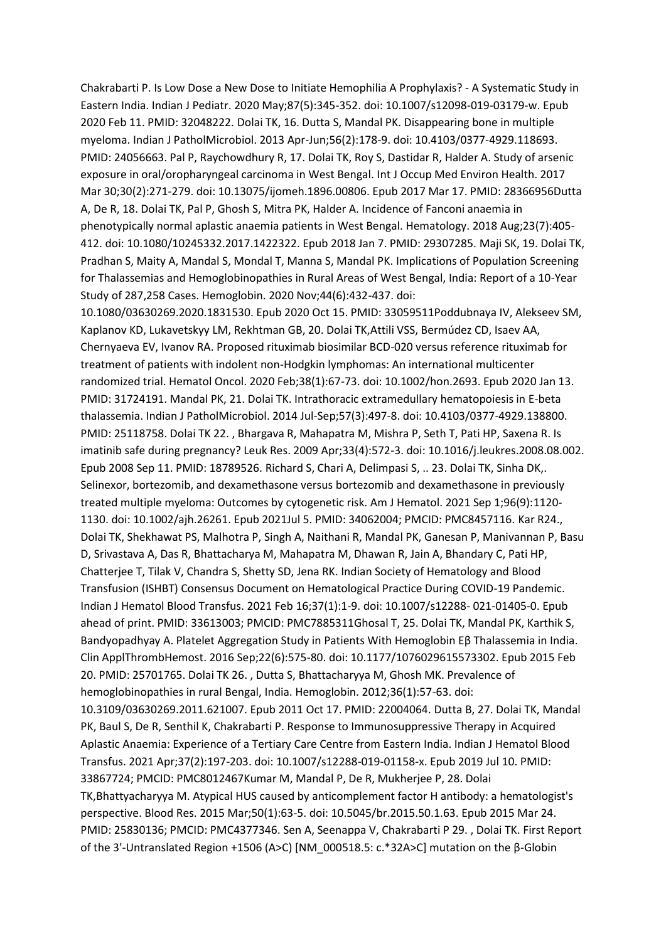Chakrabarti P. Is Low Dose a New Dose to Initiate Hemophilia A Prophylaxis? - A Systematic Study in Eastern India. Indian J Pediatr. 2020 May;87(5):345-352. doi: 10.1007/s12098-019-03179-w. Epub 2020 Feb 11. PMID: 32048222. Dolai TK, 16. Dutta S, Mandal PK. Disappearing bone in multiple myeloma. Indian J PatholMicrobiol. 2013 Apr-Jun;56(2):178-9. doi: 10.4103/0377-4929.118693. PMID: 24056663. Pal P, Raychowdhury R, 17. Dolai TK, Roy S, Dastidar R, Halder A. Study of arsenic exposure in oral/oropharyngeal carcinoma in West Bengal. Int J Occup Med Environ Health. 2017 Mar 30;30(2):271-279. doi: 10.13075/ijomeh.1896.00806. Epub 2017 Mar 17. PMID: 28366956Dutta A, De R, 18. Dolai TK, Pal P, Ghosh S, Mitra PK, Halder A. Incidence of Fanconi anaemia in phenotypically normal aplastic anaemia patients in West Bengal. Hematology. 2018 Aug;23(7):405- 412. doi: 10.1080/10245332.2017.1422322. Epub 2018 Jan 7. PMID: 29307285. Maji SK, 19. Dolai TK, Pradhan S, Maity A, Mandal S, Mondal T, Manna S, Mandal PK. Implications of Population Screening for Thalassemias and Hemoglobinopathies in Rural Areas of West Bengal, India: Report of a 10-Year Study of 287,258 Cases. Hemoglobin. 2020 Nov;44(6):432-437. doi:

10.1080/03630269.2020.1831530. Epub 2020 Oct 15. PMID: 33059511Poddubnaya IV, Alekseev SM, Kaplanov KD, Lukavetskyy LM, Rekhtman GB, 20. Dolai TK,Attili VSS, Bermúdez CD, Isaev AA, Chernyaeva EV, Ivanov RA. Proposed rituximab biosimilar BCD-020 versus reference rituximab for treatment of patients with indolent non-Hodgkin lymphomas: An international multicenter randomized trial. Hematol Oncol. 2020 Feb;38(1):67-73. doi: 10.1002/hon.2693. Epub 2020 Jan 13. PMID: 31724191. Mandal PK, 21. Dolai TK. Intrathoracic extramedullary hematopoiesis in E-beta thalassemia. Indian J PatholMicrobiol. 2014 Jul-Sep;57(3):497-8. doi: 10.4103/0377-4929.138800. PMID: 25118758. Dolai TK 22. , Bhargava R, Mahapatra M, Mishra P, Seth T, Pati HP, Saxena R. Is imatinib safe during pregnancy? Leuk Res. 2009 Apr;33(4):572-3. doi: 10.1016/j.leukres.2008.08.002. Epub 2008 Sep 11. PMID: 18789526. Richard S, Chari A, Delimpasi S, .. 23. Dolai TK, Sinha DK,. Selinexor, bortezomib, and dexamethasone versus bortezomib and dexamethasone in previously treated multiple myeloma: Outcomes by cytogenetic risk. Am J Hematol. 2021 Sep 1;96(9):1120- 1130. doi: 10.1002/ajh.26261. Epub 2021Jul 5. PMID: 34062004; PMCID: PMC8457116. Kar R24., Dolai TK, Shekhawat PS, Malhotra P, Singh A, Naithani R, Mandal PK, Ganesan P, Manivannan P, Basu D, Srivastava A, Das R, Bhattacharya M, Mahapatra M, Dhawan R, Jain A, Bhandary C, Pati HP, Chatterjee T, Tilak V, Chandra S, Shetty SD, Jena RK. Indian Society of Hematology and Blood Transfusion (ISHBT) Consensus Document on Hematological Practice During COVID-19 Pandemic. Indian J Hematol Blood Transfus. 2021 Feb 16;37(1):1-9. doi: 10.1007/s12288- 021-01405-0. Epub ahead of print. PMID: 33613003; PMCID: PMC7885311Ghosal T, 25. Dolai TK, Mandal PK, Karthik S, Bandyopadhyay A. Platelet Aggregation Study in Patients With Hemoglobin Eβ Thalassemia in India. Clin ApplThrombHemost. 2016 Sep;22(6):575-80. doi: 10.1177/1076029615573302. Epub 2015 Feb 20. PMID: 25701765. Dolai TK 26. , Dutta S, Bhattacharyya M, Ghosh MK. Prevalence of hemoglobinopathies in rural Bengal, India. Hemoglobin. 2012;36(1):57-63. doi: 10.3109/03630269.2011.621007. Epub 2011 Oct 17. PMID: 22004064. Dutta B, 27. Dolai TK, Mandal PK, Baul S, De R, Senthil K, Chakrabarti P. Response to Immunosuppressive Therapy in Acquired Aplastic Anaemia: Experience of a Tertiary Care Centre from Eastern India. Indian J Hematol Blood Transfus. 2021 Apr;37(2):197-203. doi: 10.1007/s12288-019-01158-x. Epub 2019 Jul 10. PMID: 33867724; PMCID: PMC8012467Kumar M, Mandal P, De R, Mukherjee P, 28. Dolai TK,Bhattyacharyya M. Atypical HUS caused by anticomplement factor H antibody: a hematologist's perspective. Blood Res. 2015 Mar;50(1):63-5. doi: 10.5045/br.2015.50.1.63. Epub 2015 Mar 24. PMID: 25830136; PMCID: PMC4377346. Sen A, Seenappa V, Chakrabarti P 29. , Dolai TK. First Report of the 3'-Untranslated Region +1506 (A>C) [NM\_000518.5: c.\*32A>C] mutation on the β-Globin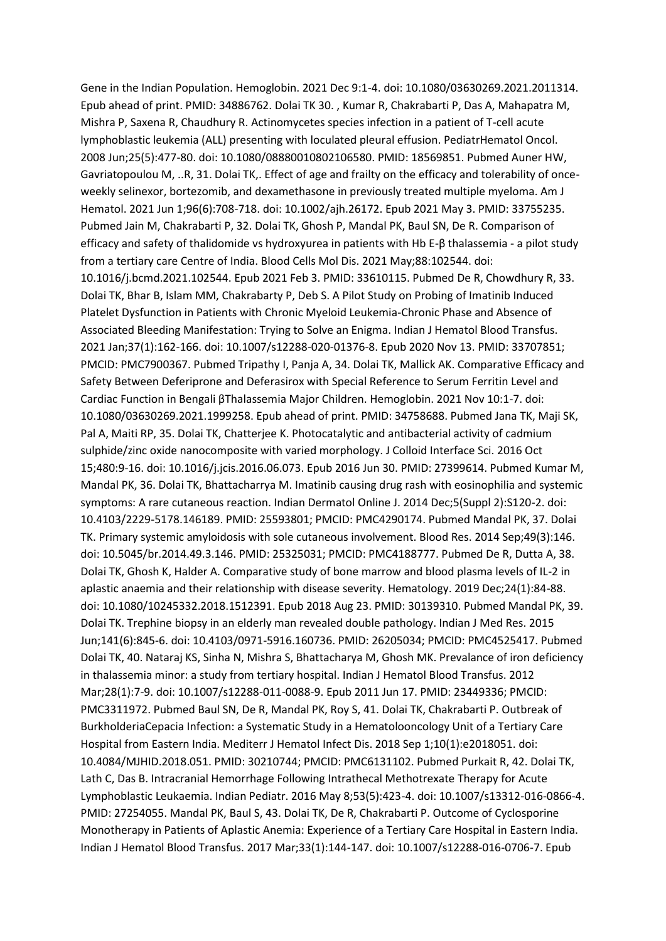Gene in the Indian Population. Hemoglobin. 2021 Dec 9:1-4. doi: 10.1080/03630269.2021.2011314. Epub ahead of print. PMID: 34886762. Dolai TK 30. , Kumar R, Chakrabarti P, Das A, Mahapatra M, Mishra P, Saxena R, Chaudhury R. Actinomycetes species infection in a patient of T-cell acute lymphoblastic leukemia (ALL) presenting with loculated pleural effusion. PediatrHematol Oncol. 2008 Jun;25(5):477-80. doi: 10.1080/08880010802106580. PMID: 18569851. Pubmed Auner HW, Gavriatopoulou M, ..R, 31. Dolai TK,. Effect of age and frailty on the efficacy and tolerability of onceweekly selinexor, bortezomib, and dexamethasone in previously treated multiple myeloma. Am J Hematol. 2021 Jun 1;96(6):708-718. doi: 10.1002/ajh.26172. Epub 2021 May 3. PMID: 33755235. Pubmed Jain M, Chakrabarti P, 32. Dolai TK, Ghosh P, Mandal PK, Baul SN, De R. Comparison of efficacy and safety of thalidomide vs hydroxyurea in patients with Hb E-β thalassemia - a pilot study from a tertiary care Centre of India. Blood Cells Mol Dis. 2021 May;88:102544. doi: 10.1016/j.bcmd.2021.102544. Epub 2021 Feb 3. PMID: 33610115. Pubmed De R, Chowdhury R, 33. Dolai TK, Bhar B, Islam MM, Chakrabarty P, Deb S. A Pilot Study on Probing of Imatinib Induced Platelet Dysfunction in Patients with Chronic Myeloid Leukemia-Chronic Phase and Absence of Associated Bleeding Manifestation: Trying to Solve an Enigma. Indian J Hematol Blood Transfus. 2021 Jan;37(1):162-166. doi: 10.1007/s12288-020-01376-8. Epub 2020 Nov 13. PMID: 33707851; PMCID: PMC7900367. Pubmed Tripathy I, Panja A, 34. Dolai TK, Mallick AK. Comparative Efficacy and Safety Between Deferiprone and Deferasirox with Special Reference to Serum Ferritin Level and Cardiac Function in Bengali βThalassemia Major Children. Hemoglobin. 2021 Nov 10:1-7. doi: 10.1080/03630269.2021.1999258. Epub ahead of print. PMID: 34758688. Pubmed Jana TK, Maji SK, Pal A, Maiti RP, 35. Dolai TK, Chatterjee K. Photocatalytic and antibacterial activity of cadmium sulphide/zinc oxide nanocomposite with varied morphology. J Colloid Interface Sci. 2016 Oct 15;480:9-16. doi: 10.1016/j.jcis.2016.06.073. Epub 2016 Jun 30. PMID: 27399614. Pubmed Kumar M, Mandal PK, 36. Dolai TK, Bhattacharrya M. Imatinib causing drug rash with eosinophilia and systemic symptoms: A rare cutaneous reaction. Indian Dermatol Online J. 2014 Dec;5(Suppl 2):S120-2. doi: 10.4103/2229-5178.146189. PMID: 25593801; PMCID: PMC4290174. Pubmed Mandal PK, 37. Dolai TK. Primary systemic amyloidosis with sole cutaneous involvement. Blood Res. 2014 Sep;49(3):146. doi: 10.5045/br.2014.49.3.146. PMID: 25325031; PMCID: PMC4188777. Pubmed De R, Dutta A, 38. Dolai TK, Ghosh K, Halder A. Comparative study of bone marrow and blood plasma levels of IL-2 in aplastic anaemia and their relationship with disease severity. Hematology. 2019 Dec;24(1):84-88. doi: 10.1080/10245332.2018.1512391. Epub 2018 Aug 23. PMID: 30139310. Pubmed Mandal PK, 39. Dolai TK. Trephine biopsy in an elderly man revealed double pathology. Indian J Med Res. 2015 Jun;141(6):845-6. doi: 10.4103/0971-5916.160736. PMID: 26205034; PMCID: PMC4525417. Pubmed Dolai TK, 40. Nataraj KS, Sinha N, Mishra S, Bhattacharya M, Ghosh MK. Prevalance of iron deficiency in thalassemia minor: a study from tertiary hospital. Indian J Hematol Blood Transfus. 2012 Mar;28(1):7-9. doi: 10.1007/s12288-011-0088-9. Epub 2011 Jun 17. PMID: 23449336; PMCID: PMC3311972. Pubmed Baul SN, De R, Mandal PK, Roy S, 41. Dolai TK, Chakrabarti P. Outbreak of BurkholderiaCepacia Infection: a Systematic Study in a Hematolooncology Unit of a Tertiary Care Hospital from Eastern India. Mediterr J Hematol Infect Dis. 2018 Sep 1;10(1):e2018051. doi: 10.4084/MJHID.2018.051. PMID: 30210744; PMCID: PMC6131102. Pubmed Purkait R, 42. Dolai TK, Lath C, Das B. Intracranial Hemorrhage Following Intrathecal Methotrexate Therapy for Acute Lymphoblastic Leukaemia. Indian Pediatr. 2016 May 8;53(5):423-4. doi: 10.1007/s13312-016-0866-4. PMID: 27254055. Mandal PK, Baul S, 43. Dolai TK, De R, Chakrabarti P. Outcome of Cyclosporine Monotherapy in Patients of Aplastic Anemia: Experience of a Tertiary Care Hospital in Eastern India. Indian J Hematol Blood Transfus. 2017 Mar;33(1):144-147. doi: 10.1007/s12288-016-0706-7. Epub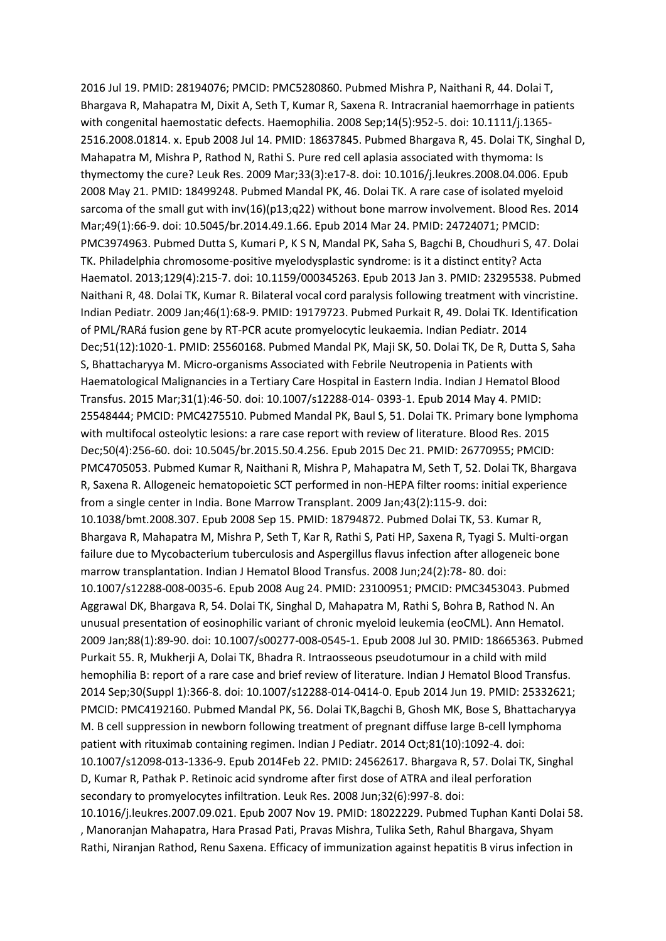2016 Jul 19. PMID: 28194076; PMCID: PMC5280860. Pubmed Mishra P, Naithani R, 44. Dolai T, Bhargava R, Mahapatra M, Dixit A, Seth T, Kumar R, Saxena R. Intracranial haemorrhage in patients with congenital haemostatic defects. Haemophilia. 2008 Sep;14(5):952-5. doi: 10.1111/j.1365-2516.2008.01814. x. Epub 2008 Jul 14. PMID: 18637845. Pubmed Bhargava R, 45. Dolai TK, Singhal D, Mahapatra M, Mishra P, Rathod N, Rathi S. Pure red cell aplasia associated with thymoma: Is thymectomy the cure? Leuk Res. 2009 Mar;33(3):e17-8. doi: 10.1016/j.leukres.2008.04.006. Epub 2008 May 21. PMID: 18499248. Pubmed Mandal PK, 46. Dolai TK. A rare case of isolated myeloid sarcoma of the small gut with inv(16)(p13;q22) without bone marrow involvement. Blood Res. 2014 Mar;49(1):66-9. doi: 10.5045/br.2014.49.1.66. Epub 2014 Mar 24. PMID: 24724071; PMCID: PMC3974963. Pubmed Dutta S, Kumari P, K S N, Mandal PK, Saha S, Bagchi B, Choudhuri S, 47. Dolai TK. Philadelphia chromosome-positive myelodysplastic syndrome: is it a distinct entity? Acta Haematol. 2013;129(4):215-7. doi: 10.1159/000345263. Epub 2013 Jan 3. PMID: 23295538. Pubmed Naithani R, 48. Dolai TK, Kumar R. Bilateral vocal cord paralysis following treatment with vincristine. Indian Pediatr. 2009 Jan;46(1):68-9. PMID: 19179723. Pubmed Purkait R, 49. Dolai TK. Identification of PML/RARá fusion gene by RT-PCR acute promyelocytic leukaemia. Indian Pediatr. 2014 Dec;51(12):1020-1. PMID: 25560168. Pubmed Mandal PK, Maji SK, 50. Dolai TK, De R, Dutta S, Saha S, Bhattacharyya M. Micro-organisms Associated with Febrile Neutropenia in Patients with Haematological Malignancies in a Tertiary Care Hospital in Eastern India. Indian J Hematol Blood Transfus. 2015 Mar;31(1):46-50. doi: 10.1007/s12288-014- 0393-1. Epub 2014 May 4. PMID: 25548444; PMCID: PMC4275510. Pubmed Mandal PK, Baul S, 51. Dolai TK. Primary bone lymphoma with multifocal osteolytic lesions: a rare case report with review of literature. Blood Res. 2015 Dec;50(4):256-60. doi: 10.5045/br.2015.50.4.256. Epub 2015 Dec 21. PMID: 26770955; PMCID: PMC4705053. Pubmed Kumar R, Naithani R, Mishra P, Mahapatra M, Seth T, 52. Dolai TK, Bhargava R, Saxena R. Allogeneic hematopoietic SCT performed in non-HEPA filter rooms: initial experience from a single center in India. Bone Marrow Transplant. 2009 Jan;43(2):115-9. doi: 10.1038/bmt.2008.307. Epub 2008 Sep 15. PMID: 18794872. Pubmed Dolai TK, 53. Kumar R, Bhargava R, Mahapatra M, Mishra P, Seth T, Kar R, Rathi S, Pati HP, Saxena R, Tyagi S. Multi-organ failure due to Mycobacterium tuberculosis and Aspergillus flavus infection after allogeneic bone marrow transplantation. Indian J Hematol Blood Transfus. 2008 Jun;24(2):78- 80. doi: 10.1007/s12288-008-0035-6. Epub 2008 Aug 24. PMID: 23100951; PMCID: PMC3453043. Pubmed Aggrawal DK, Bhargava R, 54. Dolai TK, Singhal D, Mahapatra M, Rathi S, Bohra B, Rathod N. An unusual presentation of eosinophilic variant of chronic myeloid leukemia (eoCML). Ann Hematol. 2009 Jan;88(1):89-90. doi: 10.1007/s00277-008-0545-1. Epub 2008 Jul 30. PMID: 18665363. Pubmed Purkait 55. R, Mukherji A, Dolai TK, Bhadra R. Intraosseous pseudotumour in a child with mild hemophilia B: report of a rare case and brief review of literature. Indian J Hematol Blood Transfus. 2014 Sep;30(Suppl 1):366-8. doi: 10.1007/s12288-014-0414-0. Epub 2014 Jun 19. PMID: 25332621; PMCID: PMC4192160. Pubmed Mandal PK, 56. Dolai TK,Bagchi B, Ghosh MK, Bose S, Bhattacharyya M. B cell suppression in newborn following treatment of pregnant diffuse large B-cell lymphoma patient with rituximab containing regimen. Indian J Pediatr. 2014 Oct;81(10):1092-4. doi: 10.1007/s12098-013-1336-9. Epub 2014Feb 22. PMID: 24562617. Bhargava R, 57. Dolai TK, Singhal D, Kumar R, Pathak P. Retinoic acid syndrome after first dose of ATRA and ileal perforation secondary to promyelocytes infiltration. Leuk Res. 2008 Jun;32(6):997-8. doi: 10.1016/j.leukres.2007.09.021. Epub 2007 Nov 19. PMID: 18022229. Pubmed Tuphan Kanti Dolai 58. , Manoranjan Mahapatra, Hara Prasad Pati, Pravas Mishra, Tulika Seth, Rahul Bhargava, Shyam

Rathi, Niranjan Rathod, Renu Saxena. Efficacy of immunization against hepatitis B virus infection in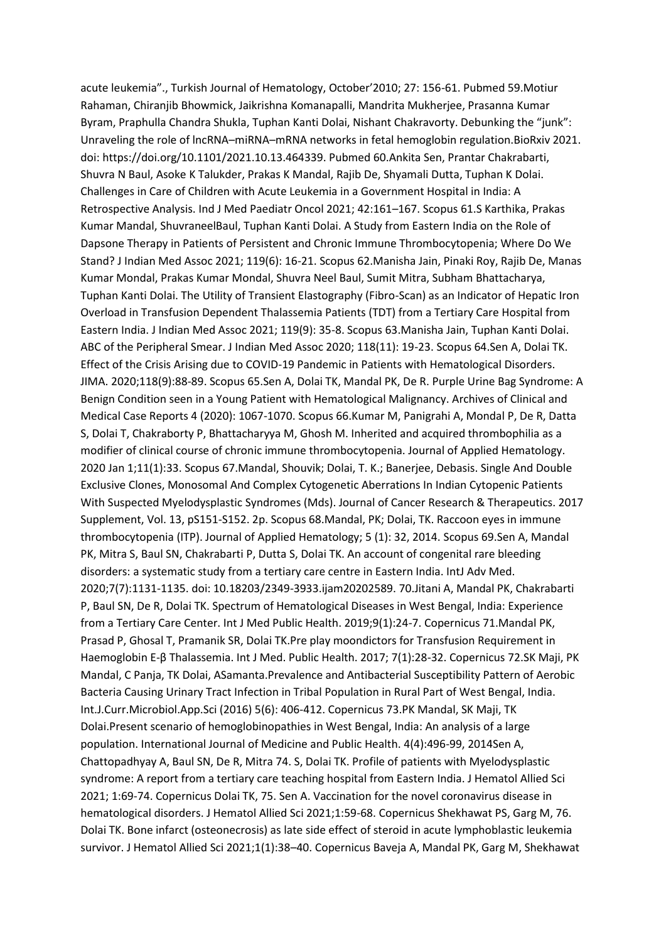acute leukemia"., Turkish Journal of Hematology, October'2010; 27: 156-61. Pubmed 59.Motiur Rahaman, Chiranjib Bhowmick, Jaikrishna Komanapalli, Mandrita Mukherjee, Prasanna Kumar Byram, Praphulla Chandra Shukla, Tuphan Kanti Dolai, Nishant Chakravorty. Debunking the "junk": Unraveling the role of lncRNA–miRNA–mRNA networks in fetal hemoglobin regulation.BioRxiv 2021. doi: https://doi.org/10.1101/2021.10.13.464339. Pubmed 60.Ankita Sen, Prantar Chakrabarti, Shuvra N Baul, Asoke K Talukder, Prakas K Mandal, Rajib De, Shyamali Dutta, Tuphan K Dolai. Challenges in Care of Children with Acute Leukemia in a Government Hospital in India: A Retrospective Analysis. Ind J Med Paediatr Oncol 2021; 42:161–167. Scopus 61.S Karthika, Prakas Kumar Mandal, ShuvraneelBaul, Tuphan Kanti Dolai. A Study from Eastern India on the Role of Dapsone Therapy in Patients of Persistent and Chronic Immune Thrombocytopenia; Where Do We Stand? J Indian Med Assoc 2021; 119(6): 16-21. Scopus 62.Manisha Jain, Pinaki Roy, Rajib De, Manas Kumar Mondal, Prakas Kumar Mondal, Shuvra Neel Baul, Sumit Mitra, Subham Bhattacharya, Tuphan Kanti Dolai. The Utility of Transient Elastography (Fibro-Scan) as an Indicator of Hepatic Iron Overload in Transfusion Dependent Thalassemia Patients (TDT) from a Tertiary Care Hospital from Eastern India. J Indian Med Assoc 2021; 119(9): 35-8. Scopus 63.Manisha Jain, Tuphan Kanti Dolai. ABC of the Peripheral Smear. J Indian Med Assoc 2020; 118(11): 19-23. Scopus 64.Sen A, Dolai TK. Effect of the Crisis Arising due to COVID-19 Pandemic in Patients with Hematological Disorders. JIMA. 2020;118(9):88-89. Scopus 65.Sen A, Dolai TK, Mandal PK, De R. Purple Urine Bag Syndrome: A Benign Condition seen in a Young Patient with Hematological Malignancy. Archives of Clinical and Medical Case Reports 4 (2020): 1067-1070. Scopus 66.Kumar M, Panigrahi A, Mondal P, De R, Datta S, Dolai T, Chakraborty P, Bhattacharyya M, Ghosh M. Inherited and acquired thrombophilia as a modifier of clinical course of chronic immune thrombocytopenia. Journal of Applied Hematology. 2020 Jan 1;11(1):33. Scopus 67.Mandal, Shouvik; Dolai, T. K.; Banerjee, Debasis. Single And Double Exclusive Clones, Monosomal And Complex Cytogenetic Aberrations In Indian Cytopenic Patients With Suspected Myelodysplastic Syndromes (Mds). Journal of Cancer Research & Therapeutics. 2017 Supplement, Vol. 13, pS151-S152. 2p. Scopus 68.Mandal, PK; Dolai, TK. Raccoon eyes in immune thrombocytopenia (ITP). Journal of Applied Hematology; 5 (1): 32, 2014. Scopus 69.Sen A, Mandal PK, Mitra S, Baul SN, Chakrabarti P, Dutta S, Dolai TK. An account of congenital rare bleeding disorders: a systematic study from a tertiary care centre in Eastern India. IntJ Adv Med. 2020;7(7):1131-1135. doi: 10.18203/2349-3933.ijam20202589. 70.Jitani A, Mandal PK, Chakrabarti P, Baul SN, De R, Dolai TK. Spectrum of Hematological Diseases in West Bengal, India: Experience from a Tertiary Care Center. Int J Med Public Health. 2019;9(1):24-7. Copernicus 71.Mandal PK, Prasad P, Ghosal T, Pramanik SR, Dolai TK.Pre play moondictors for Transfusion Requirement in Haemoglobin E-β Thalassemia. Int J Med. Public Health. 2017; 7(1):28-32. Copernicus 72.SK Maji, PK Mandal, C Panja, TK Dolai, ASamanta.Prevalence and Antibacterial Susceptibility Pattern of Aerobic Bacteria Causing Urinary Tract Infection in Tribal Population in Rural Part of West Bengal, India. Int.J.Curr.Microbiol.App.Sci (2016) 5(6): 406-412. Copernicus 73.PK Mandal, SK Maji, TK Dolai.Present scenario of hemoglobinopathies in West Bengal, India: An analysis of a large population. International Journal of Medicine and Public Health. 4(4):496-99, 2014Sen A, Chattopadhyay A, Baul SN, De R, Mitra 74. S, Dolai TK. Profile of patients with Myelodysplastic syndrome: A report from a tertiary care teaching hospital from Eastern India. J Hematol Allied Sci 2021; 1:69-74. Copernicus Dolai TK, 75. Sen A. Vaccination for the novel coronavirus disease in hematological disorders. J Hematol Allied Sci 2021;1:59-68. Copernicus Shekhawat PS, Garg M, 76. Dolai TK. Bone infarct (osteonecrosis) as late side effect of steroid in acute lymphoblastic leukemia survivor. J Hematol Allied Sci 2021;1(1):38–40. Copernicus Baveja A, Mandal PK, Garg M, Shekhawat